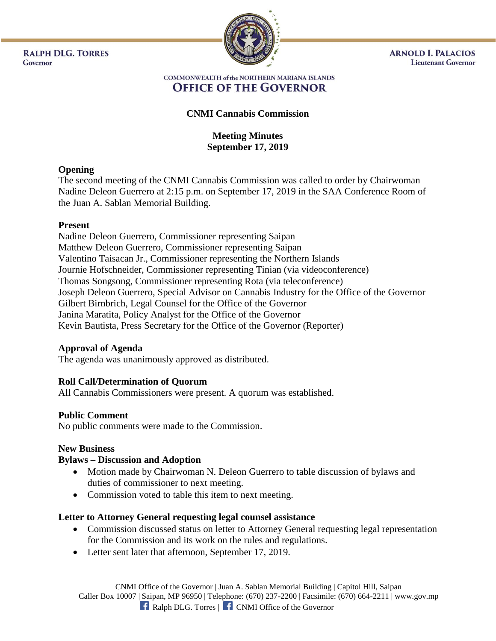**RALPH DLG. TORRES** Governor



**ARNOLD I. PALACIOS Lieutenant Governor** 

#### **COMMONWEALTH of the NORTHERN MARIANA ISLANDS OFFICE OF THE GOVERNOR**

# **CNMI Cannabis Commission**

## **Meeting Minutes September 17, 2019**

## **Opening**

The second meeting of the CNMI Cannabis Commission was called to order by Chairwoman Nadine Deleon Guerrero at 2:15 p.m. on September 17, 2019 in the SAA Conference Room of the Juan A. Sablan Memorial Building.

## **Present**

Nadine Deleon Guerrero, Commissioner representing Saipan Matthew Deleon Guerrero, Commissioner representing Saipan Valentino Taisacan Jr., Commissioner representing the Northern Islands Journie Hofschneider, Commissioner representing Tinian (via videoconference) Thomas Songsong, Commissioner representing Rota (via teleconference) Joseph Deleon Guerrero, Special Advisor on Cannabis Industry for the Office of the Governor Gilbert Birnbrich, Legal Counsel for the Office of the Governor Janina Maratita, Policy Analyst for the Office of the Governor Kevin Bautista, Press Secretary for the Office of the Governor (Reporter)

## **Approval of Agenda**

The agenda was unanimously approved as distributed.

## **Roll Call/Determination of Quorum**

All Cannabis Commissioners were present. A quorum was established.

## **Public Comment**

No public comments were made to the Commission.

## **New Business**

## **Bylaws – Discussion and Adoption**

- Motion made by Chairwoman N. Deleon Guerrero to table discussion of bylaws and duties of commissioner to next meeting.
- Commission voted to table this item to next meeting.

# **Letter to Attorney General requesting legal counsel assistance**

- Commission discussed status on letter to Attorney General requesting legal representation for the Commission and its work on the rules and regulations.
- Letter sent later that afternoon, September 17, 2019.